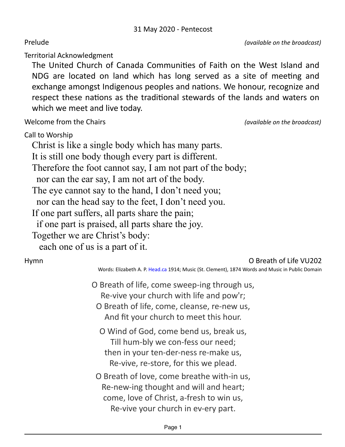Prelude *(available on the broadcast)* 

Territorial Acknowledgment 

The United Church of Canada Communities of Faith on the West Island and NDG are located on land which has long served as a site of meeting and exchange amongst Indigenous peoples and nations. We honour, recognize and respect these nations as the traditional stewards of the lands and waters on which we meet and live today.

Welcome from the Chairs *Chairs (available on the broadcast)* 

Call to Worship

Christ is like a single body which has many parts. It is still one body though every part is different. Therefore the foot cannot say, I am not part of the body; nor can the ear say, I am not art of the body. The eye cannot say to the hand, I don't need you; nor can the head say to the feet, I don't need you. If one part suffers, all parts share the pain; if one part is praised, all parts share the joy. Together we are Christ's body: each one of us is a part of it.

## Hymn **O** Breath of Life VU202

Words: Elizabeth A. P. [Head.ca](http://head.ca/) 1914; Music (St. Clement), 1874 Words and Music in Public Domain

- O Breath of life, come sweep-ing through us, Re-vive your church with life and pow'r; O Breath of life, come, cleanse, re-new us, And fit your church to meet this hour.
	- O Wind of God, come bend us, break us, Till hum-bly we con-fess our need; then in your ten-der-ness re-make us, Re-vive, re-store, for this we plead.

O Breath of love, come breathe with-in us, Re-new-ing thought and will and heart; come, love of Christ, a-fresh to win us, Re-vive your church in ev-ery part.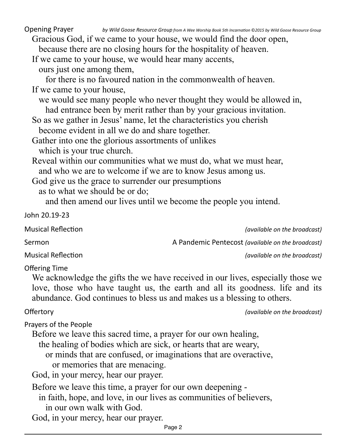**Opening Prayer** *by Wild Goose Resource Group from A Wee Worship Book 5th Incarnation* © 2015 by Wild Goose Resource Group Gracious God, if we came to your house, we would find the door open, because there are no closing hours for the hospitality of heaven. If we came to your house, we would hear many accents, ours just one among them, for there is no favoured nation in the commonwealth of heaven. If we came to your house, we would see many people who never thought they would be allowed in, had entrance been by merit rather than by your gracious invitation. So as we gather in Jesus' name, let the characteristics you cherish become evident in all we do and share together. Gather into one the glorious assortments of unlikes which is your true church. Reveal within our communities what we must do, what we must hear, and who we are to welcome if we are to know Jesus among us. God give us the grace to surrender our presumptions as to what we should be or do; and then amend our lives until we become the people you intend. John 20.19-23 Musical Reflection *Musical* Reflection *(available on the broadcast)* Sermon **A** Pandemic Pentecost (available on the broadcast) Musical Reflection *Musical* Reflection *Musical* Reflection **Offering Time** We acknowledge the gifts the we have received in our lives, especially those we love, those who have taught us, the earth and all its goodness. life and its abundance. God continues to bless us and makes us a blessing to others. Offertory *CHEREFORY (available on the broadcast)* Prayers of the People Before we leave this sacred time, a prayer for our own healing, the healing of bodies which are sick, or hearts that are weary, or minds that are confused, or imaginations that are overactive, or memories that are menacing. God, in your mercy, hear our prayer. Before we leave this time, a prayer for our own deepening in faith, hope, and love, in our lives as communities of believers, in our own walk with God. God, in your mercy, hear our prayer.

Page 2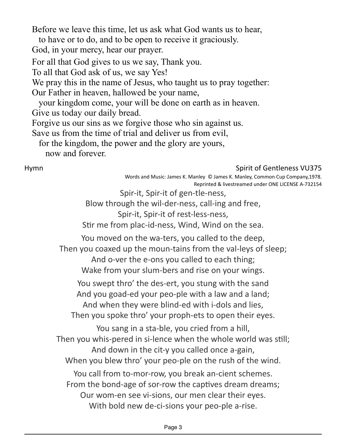Before we leave this time, let us ask what God wants us to hear,

to have or to do, and to be open to receive it graciously.

God, in your mercy, hear our prayer.

For all that God gives to us we say, Thank you.

To all that God ask of us, we say Yes!

We pray this in the name of Jesus, who taught us to pray together:

Our Father in heaven, hallowed be your name,

your kingdom come, your will be done on earth as in heaven.

Give us today our daily bread.

Forgive us our sins as we forgive those who sin against us.

Save us from the time of trial and deliver us from evil,

for the kingdom, the power and the glory are yours,

now and forever.

## Hymn Spirit of Gentleness VU375

Words and Music: James K. Manley © James K. Manley, Common Cup Company,1978. Reprinted & livestreamed under ONE LICENSE A-732154

Spir-it, Spir-it of gen-tle-ness,

Blow through the wil-der-ness, call-ing and free,

Spir-it, Spir-it of rest-less-ness,

Stir me from plac-id-ness, Wind, Wind on the sea.

You moved on the wa-ters, you called to the deep,

Then you coaxed up the moun-tains from the val-leys of sleep;

And o-ver the e-ons you called to each thing;

Wake from your slum-bers and rise on your wings.

You swept thro' the des-ert, you stung with the sand And you goad-ed your peo-ple with a law and a land; And when they were blind-ed with i-dols and lies, Then you spoke thro' your proph-ets to open their eyes.

You sang in a sta-ble, you cried from a hill, Then you whis-pered in si-lence when the whole world was still; And down in the cit-y you called once a-gain, When you blew thro' your peo-ple on the rush of the wind. You call from to-mor-row, you break an-cient schemes. From the bond-age of sor-row the captives dream dreams; Our wom-en see vi-sions, our men clear their eyes. With bold new de-ci-sions your peo-ple a-rise.